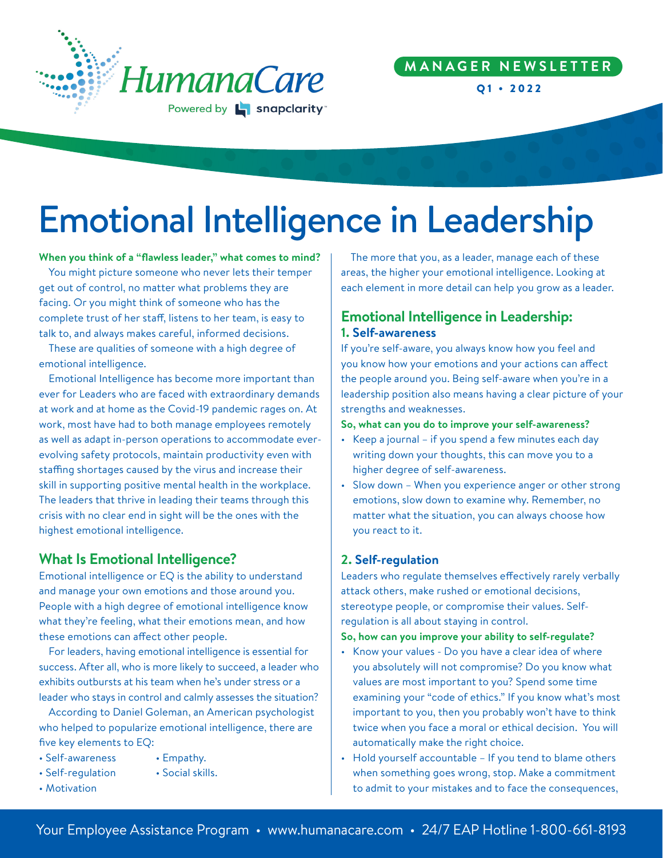

# **M A N A G E R N E W S L E T T E R**

Q1 • 2022

# Emotional Intelligence in Leadership

**When you think of a "flawless leader," what comes to mind?**

You might picture someone who never lets their temper get out of control, no matter what problems they are facing. Or you might think of someone who has the complete trust of her staff, listens to her team, is easy to talk to, and always makes careful, informed decisions.

These are qualities of someone with a high degree of emotional intelligence.

Emotional Intelligence has become more important than ever for Leaders who are faced with extraordinary demands at work and at home as the Covid-19 pandemic rages on. At work, most have had to both manage employees remotely as well as adapt in-person operations to accommodate everevolving safety protocols, maintain productivity even with staffing shortages caused by the virus and increase their skill in supporting positive mental health in the workplace. The leaders that thrive in leading their teams through this crisis with no clear end in sight will be the ones with the highest emotional intelligence.

# **What Is Emotional Intelligence?**

Emotional intelligence or EQ is the ability to understand and manage your own emotions and those around you. People with a high degree of emotional intelligence know what they're feeling, what their emotions mean, and how these emotions can affect other people.

For leaders, having emotional intelligence is essential for success. After all, who is more likely to succeed, a leader who exhibits outbursts at his team when he's under stress or a leader who stays in control and calmly assesses the situation?

According to Daniel Goleman, an American psychologist who helped to popularize emotional intelligence, there are five key elements to EQ:

- Self-awareness Empathy.
	-
- Self-regulation Social skills.
- Motivation

The more that you, as a leader, manage each of these areas, the higher your emotional intelligence. Looking at each element in more detail can help you grow as a leader.

# **Emotional Intelligence in Leadership: 1. Self-awareness**

If you're self-aware, you always know how you feel and you know how your emotions and your actions can affect the people around you. Being self-aware when you're in a leadership position also means having a clear picture of your strengths and weaknesses.

#### **So, what can you do to improve your self-awareness?**

- Keep a journal if you spend a few minutes each day writing down your thoughts, this can move you to a higher degree of self-awareness.
- Slow down When you experience anger or other strong emotions, slow down to examine why. Remember, no matter what the situation, you can always choose how you react to it.

### **2. Self-regulation**

Leaders who regulate themselves effectively rarely verbally attack others, make rushed or emotional decisions, stereotype people, or compromise their values. Selfregulation is all about staying in control.

#### **So, how can you improve your ability to self-regulate?**

- Know your values Do you have a clear idea of where you absolutely will not compromise? Do you know what values are most important to you? Spend some time examining your "code of ethics." If you know what's most important to you, then you probably won't have to think twice when you face a moral or ethical decision. You will automatically make the right choice.
- Hold yourself accountable If you tend to blame others when something goes wrong, stop. Make a commitment to admit to your mistakes and to face the consequences,